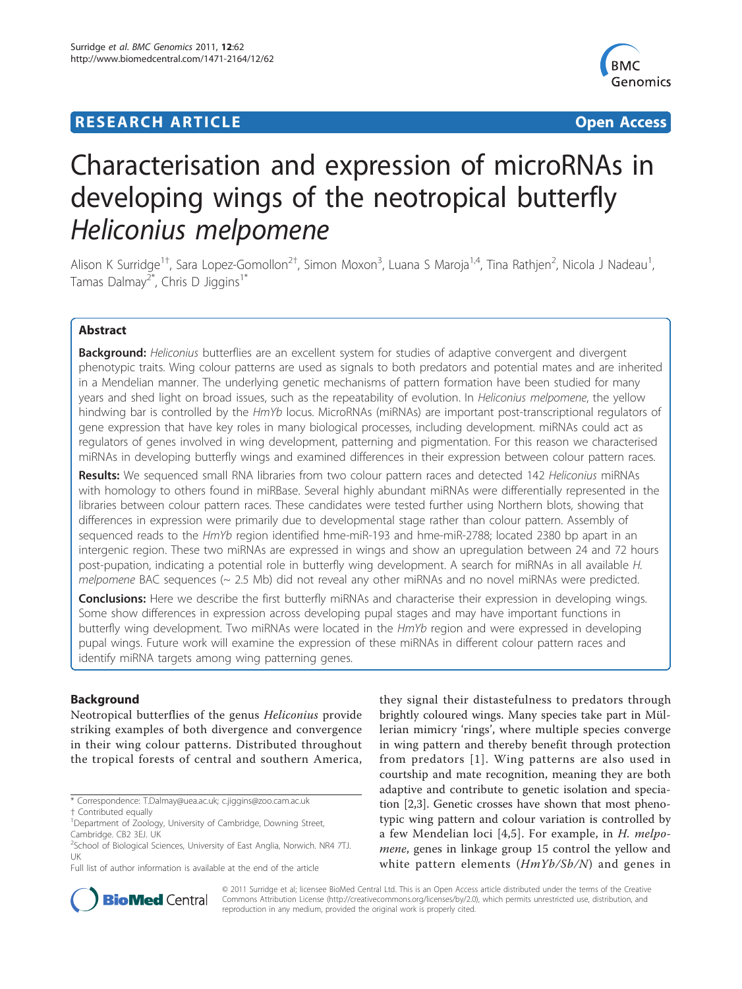## **RESEARCH ARTICLE Example 2018 12:00 Department of the Contract Open Access**



# Characterisation and expression of microRNAs in developing wings of the neotropical butterfly Heliconius melpomene

Alison K Surridge<sup>1†</sup>, Sara Lopez-Gomollon<sup>2†</sup>, Simon Moxon<sup>3</sup>, Luana S Maroja<sup>1,4</sup>, Tina Rathjen<sup>2</sup>, Nicola J Nadeau<sup>1</sup> , Tamas Dalmay<sup>2\*</sup>, Chris D Jiggins<sup>1\*</sup>

## Abstract

Background: Heliconius butterflies are an excellent system for studies of adaptive convergent and divergent phenotypic traits. Wing colour patterns are used as signals to both predators and potential mates and are inherited in a Mendelian manner. The underlying genetic mechanisms of pattern formation have been studied for many years and shed light on broad issues, such as the repeatability of evolution. In Heliconius melpomene, the yellow hindwing bar is controlled by the HmYb locus. MicroRNAs (miRNAs) are important post-transcriptional regulators of gene expression that have key roles in many biological processes, including development. miRNAs could act as regulators of genes involved in wing development, patterning and pigmentation. For this reason we characterised miRNAs in developing butterfly wings and examined differences in their expression between colour pattern races.

Results: We sequenced small RNA libraries from two colour pattern races and detected 142 Heliconius miRNAs with homology to others found in miRBase. Several highly abundant miRNAs were differentially represented in the libraries between colour pattern races. These candidates were tested further using Northern blots, showing that differences in expression were primarily due to developmental stage rather than colour pattern. Assembly of sequenced reads to the HmYb region identified hme-miR-193 and hme-miR-2788; located 2380 bp apart in an intergenic region. These two miRNAs are expressed in wings and show an upregulation between 24 and 72 hours post-pupation, indicating a potential role in butterfly wing development. A search for miRNAs in all available H. melpomene BAC sequences (~ 2.5 Mb) did not reveal any other miRNAs and no novel miRNAs were predicted.

Conclusions: Here we describe the first butterfly miRNAs and characterise their expression in developing wings. Some show differences in expression across developing pupal stages and may have important functions in butterfly wing development. Two miRNAs were located in the HmYb region and were expressed in developing pupal wings. Future work will examine the expression of these miRNAs in different colour pattern races and identify miRNA targets among wing patterning genes.

## Background

Neotropical butterflies of the genus Heliconius provide striking examples of both divergence and convergence in their wing colour patterns. Distributed throughout the tropical forests of central and southern America,

they signal their distastefulness to predators through brightly coloured wings. Many species take part in Müllerian mimicry 'rings', where multiple species converge in wing pattern and thereby benefit through protection from predators [[1](#page-8-0)]. Wing patterns are also used in courtship and mate recognition, meaning they are both adaptive and contribute to genetic isolation and speciation [\[2,3](#page-8-0)]. Genetic crosses have shown that most phenotypic wing pattern and colour variation is controlled by a few Mendelian loci [[4,5](#page-8-0)]. For example, in H. melpomene, genes in linkage group 15 control the yellow and white pattern elements (HmYb/Sb/N) and genes in



© 2011 Surridge et al; licensee BioMed Central Ltd. This is an Open Access article distributed under the terms of the Creative Commons Attribution License [\(http://creativecommons.org/licenses/by/2.0](http://creativecommons.org/licenses/by/2.0)), which permits unrestricted use, distribution, and reproduction in any medium, provided the original work is properly cited.

<sup>\*</sup> Correspondence: [T.Dalmay@uea.ac.uk;](mailto:T.Dalmay@uea.ac.uk) [c.jiggins@zoo.cam.ac.uk](mailto:c.jiggins@zoo.cam.ac.uk)

<sup>†</sup> Contributed equally <sup>1</sup>

<sup>&</sup>lt;sup>1</sup>Department of Zoology, University of Cambridge, Downing Street, Cambridge. CB2 3EJ. UK

<sup>&</sup>lt;sup>2</sup>School of Biological Sciences, University of East Anglia, Norwich. NR4 7TJ. UK

Full list of author information is available at the end of the article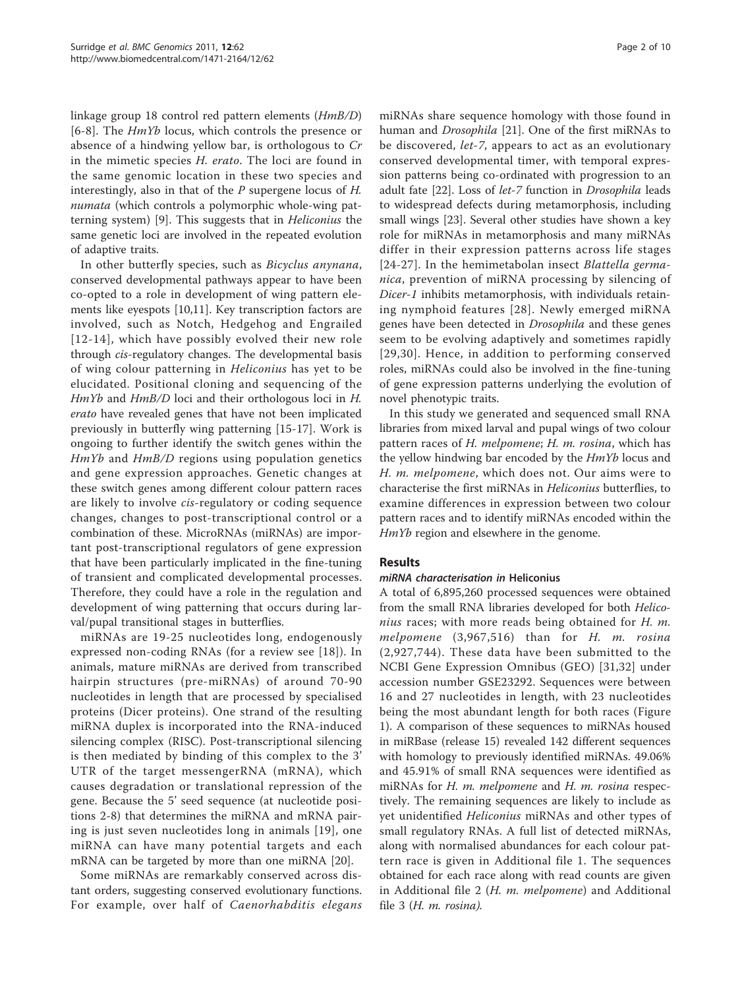linkage group 18 control red pattern elements (HmB/D) [[6-8\]](#page-8-0). The  $HmYb$  locus, which controls the presence or absence of a hindwing yellow bar, is orthologous to Cr in the mimetic species H. erato. The loci are found in the same genomic location in these two species and interestingly, also in that of the P supergene locus of H. numata (which controls a polymorphic whole-wing patterning system) [[9](#page-8-0)]. This suggests that in Heliconius the same genetic loci are involved in the repeated evolution of adaptive traits.

In other butterfly species, such as Bicyclus anynana, conserved developmental pathways appear to have been co-opted to a role in development of wing pattern elements like eyespots [\[10,11\]](#page-8-0). Key transcription factors are involved, such as Notch, Hedgehog and Engrailed [[12-14\]](#page-8-0), which have possibly evolved their new role through cis-regulatory changes. The developmental basis of wing colour patterning in Heliconius has yet to be elucidated. Positional cloning and sequencing of the HmYb and HmB/D loci and their orthologous loci in H. erato have revealed genes that have not been implicated previously in butterfly wing patterning [[15-17\]](#page-8-0). Work is ongoing to further identify the switch genes within the HmYb and HmB/D regions using population genetics and gene expression approaches. Genetic changes at these switch genes among different colour pattern races are likely to involve cis-regulatory or coding sequence changes, changes to post-transcriptional control or a combination of these. MicroRNAs (miRNAs) are important post-transcriptional regulators of gene expression that have been particularly implicated in the fine-tuning of transient and complicated developmental processes. Therefore, they could have a role in the regulation and development of wing patterning that occurs during larval/pupal transitional stages in butterflies.

miRNAs are 19-25 nucleotides long, endogenously expressed non-coding RNAs (for a review see [[18](#page-8-0)]). In animals, mature miRNAs are derived from transcribed hairpin structures (pre-miRNAs) of around 70-90 nucleotides in length that are processed by specialised proteins (Dicer proteins). One strand of the resulting miRNA duplex is incorporated into the RNA-induced silencing complex (RISC). Post-transcriptional silencing is then mediated by binding of this complex to the 3' UTR of the target messengerRNA (mRNA), which causes degradation or translational repression of the gene. Because the 5' seed sequence (at nucleotide positions 2-8) that determines the miRNA and mRNA pairing is just seven nucleotides long in animals [[19\]](#page-8-0), one miRNA can have many potential targets and each mRNA can be targeted by more than one miRNA [[20\]](#page-8-0).

Some miRNAs are remarkably conserved across distant orders, suggesting conserved evolutionary functions. For example, over half of Caenorhabditis elegans miRNAs share sequence homology with those found in human and Drosophila [[21\]](#page-8-0). One of the first miRNAs to be discovered, let-7, appears to act as an evolutionary conserved developmental timer, with temporal expression patterns being co-ordinated with progression to an adult fate [[22](#page-8-0)]. Loss of let-7 function in Drosophila leads to widespread defects during metamorphosis, including small wings [\[23\]](#page-8-0). Several other studies have shown a key role for miRNAs in metamorphosis and many miRNAs differ in their expression patterns across life stages [[24](#page-8-0)-[27](#page-9-0)]. In the hemimetabolan insect Blattella germanica, prevention of miRNA processing by silencing of Dicer-1 inhibits metamorphosis, with individuals retaining nymphoid features [[28](#page-9-0)]. Newly emerged miRNA genes have been detected in Drosophila and these genes seem to be evolving adaptively and sometimes rapidly [[29,30\]](#page-9-0). Hence, in addition to performing conserved roles, miRNAs could also be involved in the fine-tuning of gene expression patterns underlying the evolution of novel phenotypic traits.

In this study we generated and sequenced small RNA libraries from mixed larval and pupal wings of two colour pattern races of *H. melpomene*; *H. m. rosina*, which has the yellow hindwing bar encoded by the *HmYb* locus and H. m. melpomene, which does not. Our aims were to characterise the first miRNAs in Heliconius butterflies, to examine differences in expression between two colour pattern races and to identify miRNAs encoded within the HmYb region and elsewhere in the genome.

## Results

## miRNA characterisation in Heliconius

A total of 6,895,260 processed sequences were obtained from the small RNA libraries developed for both Heliconius races; with more reads being obtained for H. m. melpomene (3,967,516) than for H. m. rosina (2,927,744). These data have been submitted to the NCBI Gene Expression Omnibus (GEO) [\[31,32](#page-9-0)] under accession number GSE23292. Sequences were between 16 and 27 nucleotides in length, with 23 nucleotides being the most abundant length for both races (Figure [1\)](#page-2-0). A comparison of these sequences to miRNAs housed in miRBase (release 15) revealed 142 different sequences with homology to previously identified miRNAs. 49.06% and 45.91% of small RNA sequences were identified as miRNAs for H. m. melpomene and H. m. rosina respectively. The remaining sequences are likely to include as yet unidentified Heliconius miRNAs and other types of small regulatory RNAs. A full list of detected miRNAs, along with normalised abundances for each colour pattern race is given in Additional file [1.](#page-7-0) The sequences obtained for each race along with read counts are given in Additional file [2](#page-8-0) (H. m. melpomene) and Additional file [3](#page-8-0) (H. m. rosina).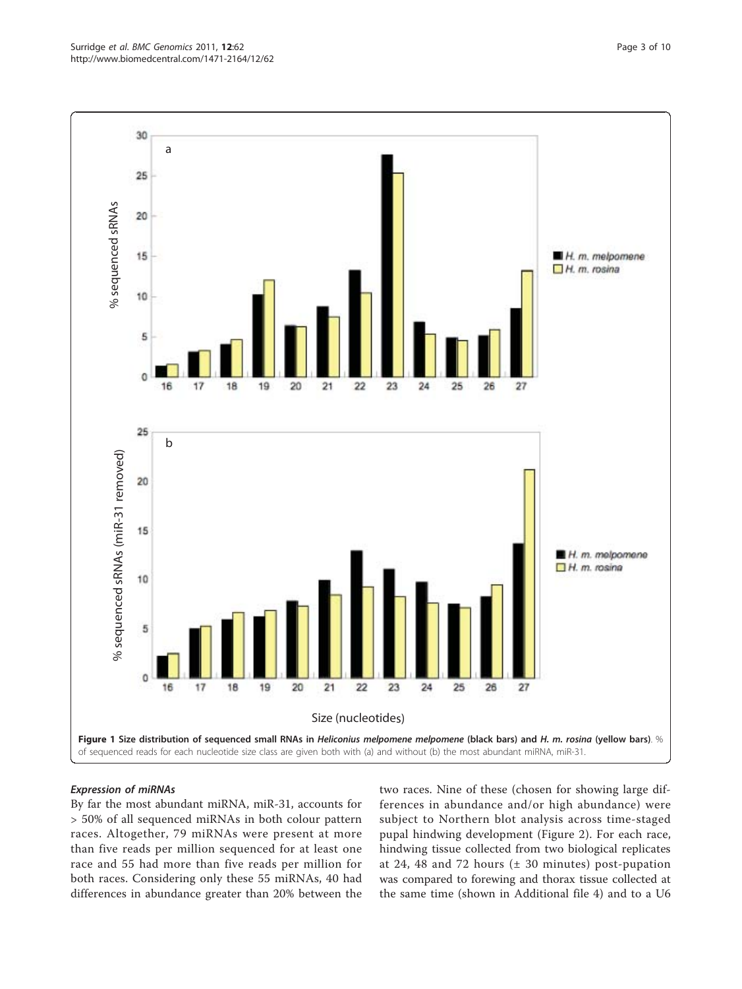Expression of miRNAs By far the most abundant miRNA, miR-31, accounts for > 50% of all sequenced miRNAs in both colour pattern races. Altogether, 79 miRNAs were present at more than five reads per million sequenced for at least one race and 55 had more than five reads per million for both races. Considering only these 55 miRNAs, 40 had differences in abundance greater than 20% between the two races. Nine of these (chosen for showing large differences in abundance and/or high abundance) were subject to Northern blot analysis across time-staged pupal hindwing development (Figure [2\)](#page-3-0). For each race, hindwing tissue collected from two biological replicates at 24, 48 and 72 hours ( $\pm$  30 minutes) post-pupation was compared to forewing and thorax tissue collected at the same time (shown in Additional file [4](#page-8-0)) and to a U6

<span id="page-2-0"></span>

a

30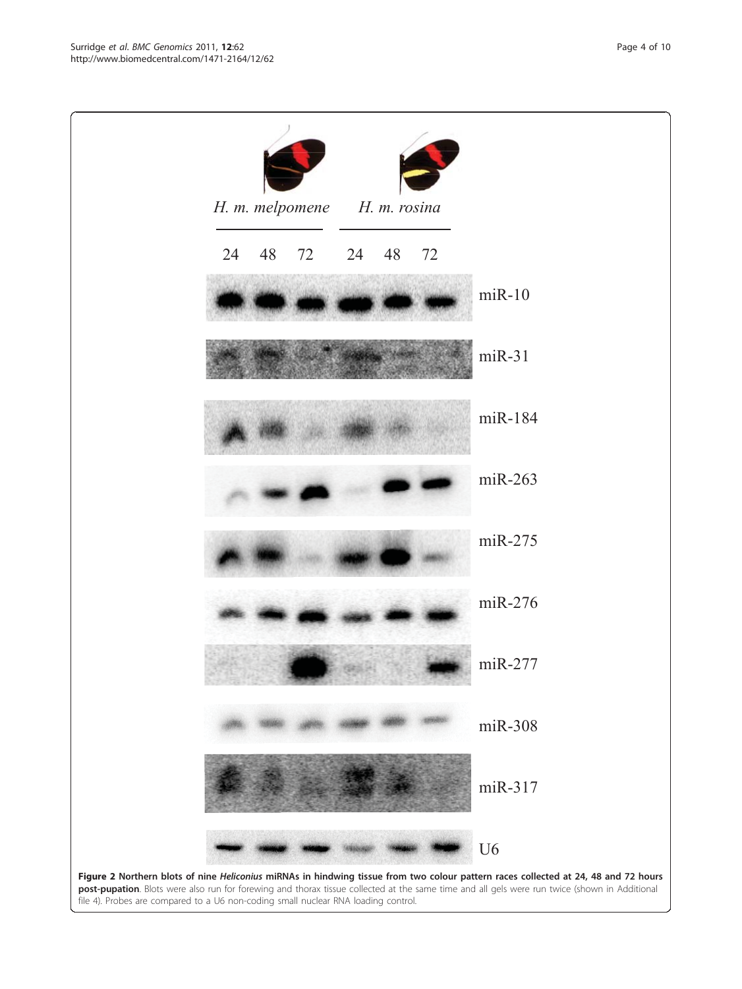<span id="page-3-0"></span>

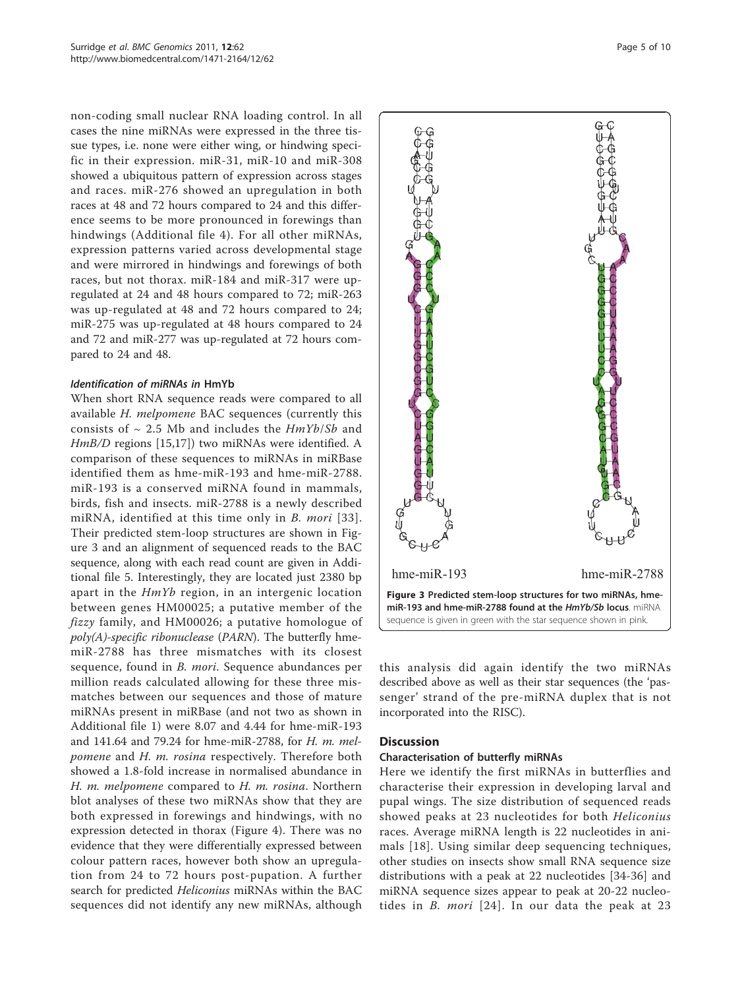non-coding small nuclear RNA loading control. In all cases the nine miRNAs were expressed in the three tissue types, i.e. none were either wing, or hindwing specific in their expression. miR-31, miR-10 and miR-308 showed a ubiquitous pattern of expression across stages and races. miR-276 showed an upregulation in both races at 48 and 72 hours compared to 24 and this difference seems to be more pronounced in forewings than hindwings (Additional file [4\)](#page-8-0). For all other miRNAs, expression patterns varied across developmental stage and were mirrored in hindwings and forewings of both races, but not thorax. miR-184 and miR-317 were upregulated at 24 and 48 hours compared to 72; miR-263 was up-regulated at 48 and 72 hours compared to 24; miR-275 was up-regulated at 48 hours compared to 24 and 72 and miR-277 was up-regulated at 72 hours compared to 24 and 48.

## Identification of miRNAs in HmYb

When short RNA sequence reads were compared to all available H. melpomene BAC sequences (currently this consists of  $\sim$  2.5 Mb and includes the  $HmYb/5b$  and HmB/D regions [\[15,17](#page-8-0)]) two miRNAs were identified. A comparison of these sequences to miRNAs in miRBase identified them as hme-miR-193 and hme-miR-2788. miR-193 is a conserved miRNA found in mammals, birds, fish and insects. miR-2788 is a newly described miRNA, identified at this time only in B. mori [[33\]](#page-9-0). Their predicted stem-loop structures are shown in Figure 3 and an alignment of sequenced reads to the BAC sequence, along with each read count are given in Additional file [5.](#page-8-0) Interestingly, they are located just 2380 bp apart in the HmYb region, in an intergenic location between genes HM00025; a putative member of the fizzy family, and HM00026; a putative homologue of poly(A)-specific ribonuclease (PARN). The butterfly hmemiR-2788 has three mismatches with its closest sequence, found in B. mori. Sequence abundances per million reads calculated allowing for these three mismatches between our sequences and those of mature miRNAs present in miRBase (and not two as shown in Additional file [1](#page-7-0)) were 8.07 and 4.44 for hme-miR-193 and 141.64 and 79.24 for hme-miR-2788, for H. m. melpomene and H. m. rosina respectively. Therefore both showed a 1.8-fold increase in normalised abundance in H. m. melpomene compared to H. m. rosina. Northern blot analyses of these two miRNAs show that they are both expressed in forewings and hindwings, with no expression detected in thorax (Figure [4\)](#page-5-0). There was no evidence that they were differentially expressed between colour pattern races, however both show an upregulation from 24 to 72 hours post-pupation. A further search for predicted Heliconius miRNAs within the BAC sequences did not identify any new miRNAs, although



this analysis did again identify the two miRNAs described above as well as their star sequences (the 'passenger' strand of the pre-miRNA duplex that is not incorporated into the RISC).

## **Discussion**

#### Characterisation of butterfly miRNAs

Here we identify the first miRNAs in butterflies and characterise their expression in developing larval and pupal wings. The size distribution of sequenced reads showed peaks at 23 nucleotides for both Heliconius races. Average miRNA length is 22 nucleotides in animals [[18](#page-8-0)]. Using similar deep sequencing techniques, other studies on insects show small RNA sequence size distributions with a peak at 22 nucleotides [[34-36\]](#page-9-0) and miRNA sequence sizes appear to peak at 20-22 nucleotides in  $B$ . *mori* [[24](#page-8-0)]. In our data the peak at 23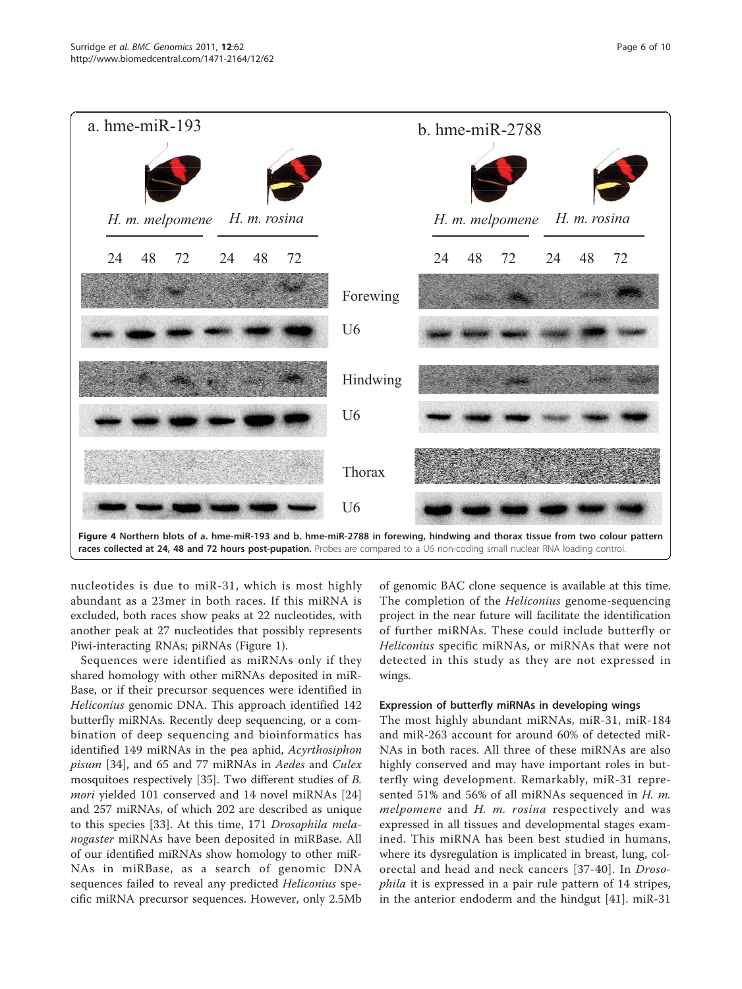<span id="page-5-0"></span>

races collected at 24, 48 and 72 hours post-pupation. Probes are compared to a U6 non-coding small nuclear RNA loading control.

nucleotides is due to miR-31, which is most highly abundant as a 23mer in both races. If this miRNA is excluded, both races show peaks at 22 nucleotides, with another peak at 27 nucleotides that possibly represents Piwi-interacting RNAs; piRNAs (Figure [1\)](#page-2-0).

Sequences were identified as miRNAs only if they shared homology with other miRNAs deposited in miR-Base, or if their precursor sequences were identified in Heliconius genomic DNA. This approach identified 142 butterfly miRNAs. Recently deep sequencing, or a combination of deep sequencing and bioinformatics has identified 149 miRNAs in the pea aphid, Acyrthosiphon pisum [\[34](#page-9-0)], and 65 and 77 miRNAs in Aedes and Culex mosquitoes respectively [[35\]](#page-9-0). Two different studies of B. mori yielded 101 conserved and 14 novel miRNAs [\[24](#page-8-0)] and 257 miRNAs, of which 202 are described as unique to this species [\[33](#page-9-0)]. At this time, 171 Drosophila melanogaster miRNAs have been deposited in miRBase. All of our identified miRNAs show homology to other miR-NAs in miRBase, as a search of genomic DNA sequences failed to reveal any predicted Heliconius specific miRNA precursor sequences. However, only 2.5Mb

of genomic BAC clone sequence is available at this time. The completion of the Heliconius genome-sequencing project in the near future will facilitate the identification of further miRNAs. These could include butterfly or Heliconius specific miRNAs, or miRNAs that were not detected in this study as they are not expressed in wings.

#### Expression of butterfly miRNAs in developing wings

The most highly abundant miRNAs, miR-31, miR-184 and miR-263 account for around 60% of detected miR-NAs in both races. All three of these miRNAs are also highly conserved and may have important roles in butterfly wing development. Remarkably, miR-31 represented 51% and 56% of all miRNAs sequenced in H. m. melpomene and H. m. rosina respectively and was expressed in all tissues and developmental stages examined. This miRNA has been best studied in humans, where its dysregulation is implicated in breast, lung, colorectal and head and neck cancers [[37](#page-9-0)-[40](#page-9-0)]. In Drosophila it is expressed in a pair rule pattern of 14 stripes, in the anterior endoderm and the hindgut [[41](#page-9-0)]. miR-31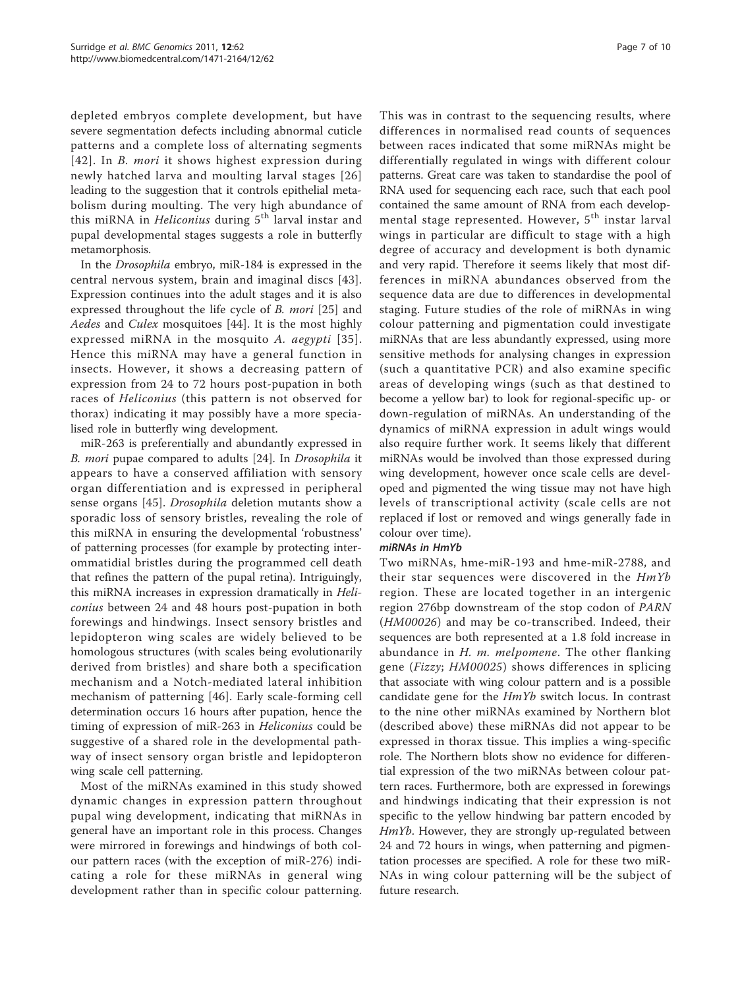depleted embryos complete development, but have severe segmentation defects including abnormal cuticle patterns and a complete loss of alternating segments [[42](#page-9-0)]. In *B. mori* it shows highest expression during newly hatched larva and moulting larval stages [[26](#page-9-0)] leading to the suggestion that it controls epithelial metabolism during moulting. The very high abundance of this miRNA in *Heliconius* during 5<sup>th</sup> larval instar and pupal developmental stages suggests a role in butterfly metamorphosis.

In the Drosophila embryo, miR-184 is expressed in the central nervous system, brain and imaginal discs [[43\]](#page-9-0). Expression continues into the adult stages and it is also expressed throughout the life cycle of B. mori [[25\]](#page-8-0) and Aedes and Culex mosquitoes [[44](#page-9-0)]. It is the most highly expressed miRNA in the mosquito A. aegypti [[35\]](#page-9-0). Hence this miRNA may have a general function in insects. However, it shows a decreasing pattern of expression from 24 to 72 hours post-pupation in both races of Heliconius (this pattern is not observed for thorax) indicating it may possibly have a more specialised role in butterfly wing development.

miR-263 is preferentially and abundantly expressed in B. mori pupae compared to adults [[24\]](#page-8-0). In Drosophila it appears to have a conserved affiliation with sensory organ differentiation and is expressed in peripheral sense organs [\[45](#page-9-0)]. Drosophila deletion mutants show a sporadic loss of sensory bristles, revealing the role of this miRNA in ensuring the developmental 'robustness' of patterning processes (for example by protecting interommatidial bristles during the programmed cell death that refines the pattern of the pupal retina). Intriguingly, this miRNA increases in expression dramatically in Heliconius between 24 and 48 hours post-pupation in both forewings and hindwings. Insect sensory bristles and lepidopteron wing scales are widely believed to be homologous structures (with scales being evolutionarily derived from bristles) and share both a specification mechanism and a Notch-mediated lateral inhibition mechanism of patterning [[46\]](#page-9-0). Early scale-forming cell determination occurs 16 hours after pupation, hence the timing of expression of miR-263 in Heliconius could be suggestive of a shared role in the developmental pathway of insect sensory organ bristle and lepidopteron wing scale cell patterning.

Most of the miRNAs examined in this study showed dynamic changes in expression pattern throughout pupal wing development, indicating that miRNAs in general have an important role in this process. Changes were mirrored in forewings and hindwings of both colour pattern races (with the exception of miR-276) indicating a role for these miRNAs in general wing development rather than in specific colour patterning.

This was in contrast to the sequencing results, where differences in normalised read counts of sequences between races indicated that some miRNAs might be differentially regulated in wings with different colour patterns. Great care was taken to standardise the pool of RNA used for sequencing each race, such that each pool contained the same amount of RNA from each developmental stage represented. However, 5<sup>th</sup> instar larval wings in particular are difficult to stage with a high degree of accuracy and development is both dynamic and very rapid. Therefore it seems likely that most differences in miRNA abundances observed from the sequence data are due to differences in developmental staging. Future studies of the role of miRNAs in wing colour patterning and pigmentation could investigate miRNAs that are less abundantly expressed, using more sensitive methods for analysing changes in expression (such a quantitative PCR) and also examine specific areas of developing wings (such as that destined to become a yellow bar) to look for regional-specific up- or down-regulation of miRNAs. An understanding of the dynamics of miRNA expression in adult wings would also require further work. It seems likely that different miRNAs would be involved than those expressed during wing development, however once scale cells are developed and pigmented the wing tissue may not have high levels of transcriptional activity (scale cells are not replaced if lost or removed and wings generally fade in colour over time).

## miRNAs in HmYb

Two miRNAs, hme-miR-193 and hme-miR-2788, and their star sequences were discovered in the HmYb region. These are located together in an intergenic region 276bp downstream of the stop codon of PARN (HM00026) and may be co-transcribed. Indeed, their sequences are both represented at a 1.8 fold increase in abundance in  $H$ . m. melpomene. The other flanking gene (Fizzy; HM00025) shows differences in splicing that associate with wing colour pattern and is a possible candidate gene for the  $HmYb$  switch locus. In contrast to the nine other miRNAs examined by Northern blot (described above) these miRNAs did not appear to be expressed in thorax tissue. This implies a wing-specific role. The Northern blots show no evidence for differential expression of the two miRNAs between colour pattern races. Furthermore, both are expressed in forewings and hindwings indicating that their expression is not specific to the yellow hindwing bar pattern encoded by HmYb. However, they are strongly up-regulated between 24 and 72 hours in wings, when patterning and pigmentation processes are specified. A role for these two miR-NAs in wing colour patterning will be the subject of future research.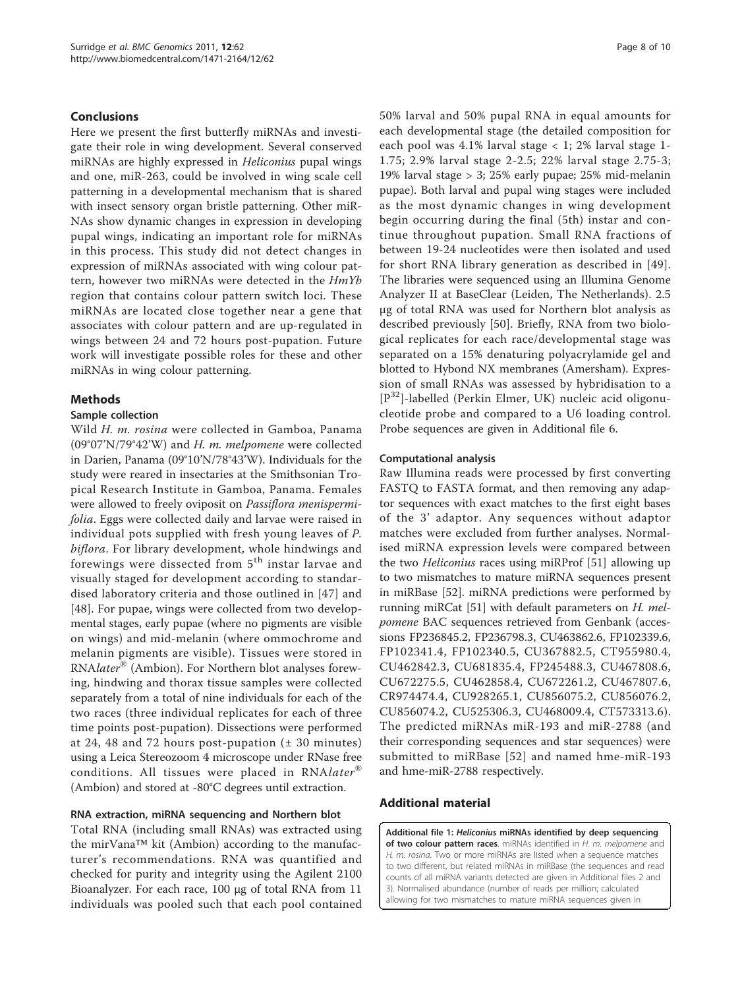## <span id="page-7-0"></span>Conclusions

Here we present the first butterfly miRNAs and investigate their role in wing development. Several conserved miRNAs are highly expressed in Heliconius pupal wings and one, miR-263, could be involved in wing scale cell patterning in a developmental mechanism that is shared with insect sensory organ bristle patterning. Other miR-NAs show dynamic changes in expression in developing pupal wings, indicating an important role for miRNAs in this process. This study did not detect changes in expression of miRNAs associated with wing colour pattern, however two miRNAs were detected in the HmYb region that contains colour pattern switch loci. These miRNAs are located close together near a gene that associates with colour pattern and are up-regulated in wings between 24 and 72 hours post-pupation. Future work will investigate possible roles for these and other miRNAs in wing colour patterning.

## Methods

#### Sample collection

Wild H. m. rosina were collected in Gamboa, Panama  $(09°07'N/79°42'W)$  and H. m. melpomene were collected in Darien, Panama (09°10'N/78°43'W). Individuals for the study were reared in insectaries at the Smithsonian Tropical Research Institute in Gamboa, Panama. Females were allowed to freely oviposit on Passiflora menispermifolia. Eggs were collected daily and larvae were raised in individual pots supplied with fresh young leaves of P. biflora. For library development, whole hindwings and forewings were dissected from 5<sup>th</sup> instar larvae and visually staged for development according to standardised laboratory criteria and those outlined in [[47\]](#page-9-0) and [[48\]](#page-9-0). For pupae, wings were collected from two developmental stages, early pupae (where no pigments are visible on wings) and mid-melanin (where ommochrome and melanin pigments are visible). Tissues were stored in RNAlater® (Ambion). For Northern blot analyses forewing, hindwing and thorax tissue samples were collected separately from a total of nine individuals for each of the two races (three individual replicates for each of three time points post-pupation). Dissections were performed at 24, 48 and 72 hours post-pupation (± 30 minutes) using a Leica Stereozoom 4 microscope under RNase free conditions. All tissues were placed in  $RNA \textit{later}^{\mathcal{R}}$ (Ambion) and stored at -80°C degrees until extraction.

#### RNA extraction, miRNA sequencing and Northern blot

Total RNA (including small RNAs) was extracted using the mirVana™ kit (Ambion) according to the manufacturer's recommendations. RNA was quantified and checked for purity and integrity using the Agilent 2100 Bioanalyzer. For each race, 100 μg of total RNA from 11 individuals was pooled such that each pool contained 50% larval and 50% pupal RNA in equal amounts for each developmental stage (the detailed composition for each pool was 4.1% larval stage < 1; 2% larval stage 1- 1.75; 2.9% larval stage 2-2.5; 22% larval stage 2.75-3; 19% larval stage > 3; 25% early pupae; 25% mid-melanin pupae). Both larval and pupal wing stages were included as the most dynamic changes in wing development begin occurring during the final (5th) instar and continue throughout pupation. Small RNA fractions of between 19-24 nucleotides were then isolated and used for short RNA library generation as described in [[49](#page-9-0)]. The libraries were sequenced using an Illumina Genome Analyzer II at BaseClear (Leiden, The Netherlands). 2.5 μg of total RNA was used for Northern blot analysis as described previously [[50](#page-9-0)]. Briefly, RNA from two biological replicates for each race/developmental stage was separated on a 15% denaturing polyacrylamide gel and blotted to Hybond NX membranes (Amersham). Expression of small RNAs was assessed by hybridisation to a  $[P^{32}]$ -labelled (Perkin Elmer, UK) nucleic acid oligonucleotide probe and compared to a U6 loading control. Probe sequences are given in Additional file [6.](#page-8-0)

#### Computational analysis

Raw Illumina reads were processed by first converting FASTQ to FASTA format, and then removing any adaptor sequences with exact matches to the first eight bases of the 3' adaptor. Any sequences without adaptor matches were excluded from further analyses. Normalised miRNA expression levels were compared between the two Heliconius races using miRProf [\[51](#page-9-0)] allowing up to two mismatches to mature miRNA sequences present in miRBase [[52\]](#page-9-0). miRNA predictions were performed by running miRCat [[51](#page-9-0)] with default parameters on H. melpomene BAC sequences retrieved from Genbank (accessions [FP236845.2,](http://www.ncbi.nih.gov/entrez/query.fcgi?db=Nucleotide&cmd=search&term=FP236845.2) [FP236798.3](http://www.ncbi.nih.gov/entrez/query.fcgi?db=Nucleotide&cmd=search&term=FP236798.3), [CU463862.6,](http://www.ncbi.nih.gov/entrez/query.fcgi?db=Nucleotide&cmd=search&term=CU463862.6) [FP102339.6](http://www.ncbi.nih.gov/entrez/query.fcgi?db=Nucleotide&cmd=search&term=FP102339.6), [FP102341.4](http://www.ncbi.nih.gov/entrez/query.fcgi?db=Nucleotide&cmd=search&term=FP102341.4), [FP102340.5,](http://www.ncbi.nih.gov/entrez/query.fcgi?db=Nucleotide&cmd=search&term=FP102340.5) [CU367882.5,](http://www.ncbi.nih.gov/entrez/query.fcgi?db=Nucleotide&cmd=search&term=CU367882.5) [CT955980.4](http://www.ncbi.nih.gov/entrez/query.fcgi?db=Nucleotide&cmd=search&term=CT955980.4), [CU462842.3,](http://www.ncbi.nih.gov/entrez/query.fcgi?db=Nucleotide&cmd=search&term=CU462842.3) [CU681835.4](http://www.ncbi.nih.gov/entrez/query.fcgi?db=Nucleotide&cmd=search&term=CU681835.4), [FP245488.3](http://www.ncbi.nih.gov/entrez/query.fcgi?db=Nucleotide&cmd=search&term=FP245488.3), [CU467808.6](http://www.ncbi.nih.gov/entrez/query.fcgi?db=Nucleotide&cmd=search&term=CU467808.6), [CU672275.5](http://www.ncbi.nih.gov/entrez/query.fcgi?db=Nucleotide&cmd=search&term=CU672275.5), [CU462858.4,](http://www.ncbi.nih.gov/entrez/query.fcgi?db=Nucleotide&cmd=search&term=CU462858.4) [CU672261.2,](http://www.ncbi.nih.gov/entrez/query.fcgi?db=Nucleotide&cmd=search&term=CU672261.2) [CU467807.6](http://www.ncbi.nih.gov/entrez/query.fcgi?db=Nucleotide&cmd=search&term=CU467807.6), [CR974474.4](http://www.ncbi.nih.gov/entrez/query.fcgi?db=Nucleotide&cmd=search&term=CR974474.4), [CU928265.1,](http://www.ncbi.nih.gov/entrez/query.fcgi?db=Nucleotide&cmd=search&term=CU928265.1) [CU856075.2,](http://www.ncbi.nih.gov/entrez/query.fcgi?db=Nucleotide&cmd=search&term=CU856075.2) [CU856076.2](http://www.ncbi.nih.gov/entrez/query.fcgi?db=Nucleotide&cmd=search&term=CU856076.2), [CU856074.2,](http://www.ncbi.nih.gov/entrez/query.fcgi?db=Nucleotide&cmd=search&term=CU856074.2) [CU525306.3](http://www.ncbi.nih.gov/entrez/query.fcgi?db=Nucleotide&cmd=search&term=CU525306.3), [CU468009.4,](http://www.ncbi.nih.gov/entrez/query.fcgi?db=Nucleotide&cmd=search&term=CU468009.4) [CT573313.6](http://www.ncbi.nih.gov/entrez/query.fcgi?db=Nucleotide&cmd=search&term=CT573313.6)). The predicted miRNAs miR-193 and miR-2788 (and their corresponding sequences and star sequences) were submitted to miRBase [[52](#page-9-0)] and named hme-miR-193 and hme-miR-2788 respectively.

#### Additional material

[Additional file 1:](http://www.biomedcentral.com/content/supplementary/1471-2164-12-62-S1.DOC) Heliconius miRNAs identified by deep sequencing of two colour pattern races. miRNAs identified in H. m. melpomene and H. m. rosina. Two or more miRNAs are listed when a sequence matches to two different, but related miRNAs in miRBase (the sequences and read counts of all miRNA variants detected are given in Additional files [2](#page-8-0) and [3\)](#page-8-0). Normalised abundance (number of reads per million; calculated allowing for two mismatches to mature miRNA sequences given in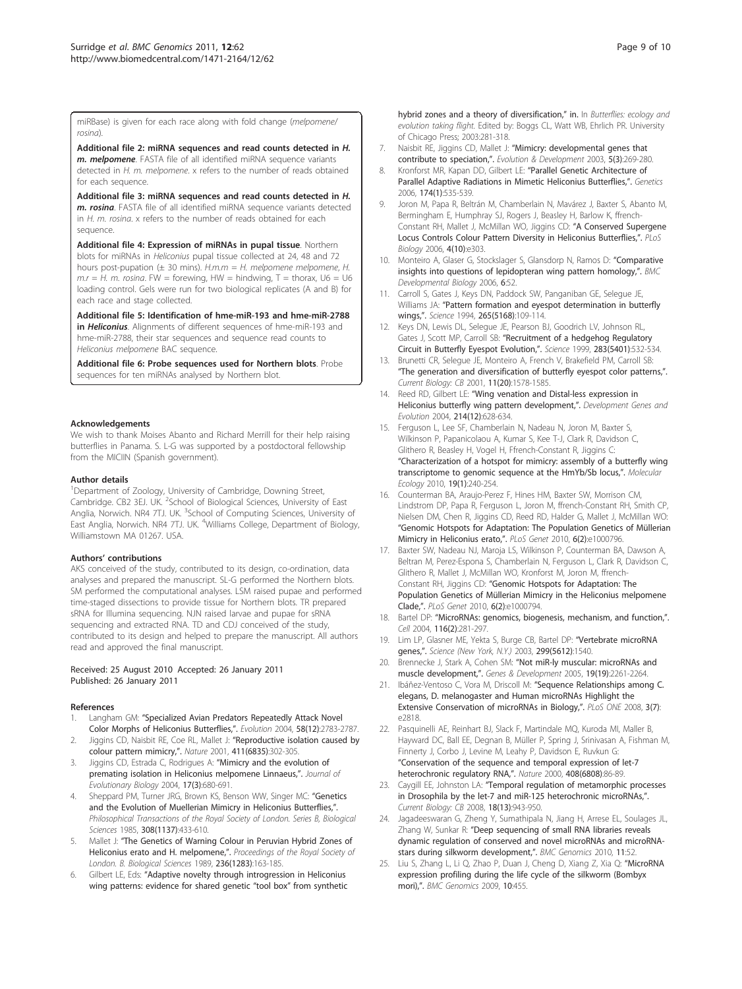<span id="page-8-0"></span>miRBase) is given for each race along with fold change (melpomene/ rosina).

[Additional file 2: m](http://www.biomedcentral.com/content/supplementary/1471-2164-12-62-S2.TXT)iRNA sequences and read counts detected in H. m. melpomene. FASTA file of all identified miRNA sequence variants detected in H. m. melpomene. x refers to the number of reads obtained for each sequence.

[Additional file 3: m](http://www.biomedcentral.com/content/supplementary/1471-2164-12-62-S3.TXT)iRNA sequences and read counts detected in H. m. rosina. FASTA file of all identified miRNA sequence variants detected in H. m. rosina. x refers to the number of reads obtained for each sequence

[Additional file 4: E](http://www.biomedcentral.com/content/supplementary/1471-2164-12-62-S4.DOC)xpression of miRNAs in pupal tissue. Northern blots for miRNAs in Heliconius pupal tissue collected at 24, 48 and 72 hours post-pupation ( $\pm$  30 mins). H.m.m = H. melpomene melpomene, H.  $m.r = H.$  m. rosina. FW = forewing, HW = hindwing, T = thorax, U6 = U6 loading control. Gels were run for two biological replicates (A and B) for each race and stage collected.

[Additional file 5: I](http://www.biomedcentral.com/content/supplementary/1471-2164-12-62-S5.PDF)dentification of hme-miR-193 and hme-miR-2788 in Heliconius. Alignments of different sequences of hme-miR-193 and hme-miR-2788, their star sequences and sequence read counts to Heliconius melpomene BAC sequence.

[Additional file 6: P](http://www.biomedcentral.com/content/supplementary/1471-2164-12-62-S6.DOC)robe sequences used for Northern blots. Probe sequences for ten miRNAs analysed by Northern blot.

#### Acknowledgements

We wish to thank Moises Abanto and Richard Merrill for their help raising butterflies in Panama. S. L-G was supported by a postdoctoral fellowship from the MICIIN (Spanish government).

#### Author details

<sup>1</sup>Department of Zoology, University of Cambridge, Downing Street, Cambridge. CB2 3EJ. UK. <sup>2</sup>School of Biological Sciences, University of East Anglia, Norwich. NR4 7TJ. UK. <sup>3</sup>School of Computing Sciences, University of East Anglia, Norwich. NR4 7TJ. UK. <sup>4</sup>Williams College, Department of Biology, Williamstown MA 01267. USA.

#### Authors' contributions

AKS conceived of the study, contributed to its design, co-ordination, data analyses and prepared the manuscript. SL-G performed the Northern blots. SM performed the computational analyses. LSM raised pupae and performed time-staged dissections to provide tissue for Northern blots. TR prepared sRNA for Illumina sequencing. NJN raised larvae and pupae for sRNA sequencing and extracted RNA. TD and CDJ conceived of the study, contributed to its design and helped to prepare the manuscript. All authors read and approved the final manuscript.

#### Received: 25 August 2010 Accepted: 26 January 2011 Published: 26 January 2011

#### References

- Langham GM: "[Specialized Avian Predators Repeatedly Attack Novel](http://www.ncbi.nlm.nih.gov/pubmed/15696755?dopt=Abstract) [Color Morphs of Heliconius Butterflies,](http://www.ncbi.nlm.nih.gov/pubmed/15696755?dopt=Abstract)". Evolution 2004, 58(12):2783-2787.
- 2. Jiggins CD, Naisbit RE, Coe RL, Mallet J: "[Reproductive isolation caused by](http://www.ncbi.nlm.nih.gov/pubmed/11357131?dopt=Abstract) [colour pattern mimicry,](http://www.ncbi.nlm.nih.gov/pubmed/11357131?dopt=Abstract)". Nature 2001, 411(6835):302-305.
- 3. Jiggins CD, Estrada C, Rodrigues A: "[Mimicry and the evolution of](http://www.ncbi.nlm.nih.gov/pubmed/15149410?dopt=Abstract) [premating isolation in Heliconius melpomene Linnaeus,](http://www.ncbi.nlm.nih.gov/pubmed/15149410?dopt=Abstract)". Journal of Evolutionary Biology 2004, 17(3):680-691.
- 4. Sheppard PM, Turner JRG, Brown KS, Benson WW, Singer MC: "Genetics and the Evolution of Muellerian Mimicry in Heliconius Butterflies,". Philosophical Transactions of the Royal Society of London. Series B, Biological Sciences 1985, 308(1137):433-610.
- Mallet J: "The Genetics of Warning Colour in Peruvian Hybrid Zones of Heliconius erato and H. melpomene,". Proceedings of the Royal Society of London. B. Biological Sciences 1989, 236(1283):163-185.
- 6. Gilbert LE, Eds: "Adaptive novelty through introgression in Heliconius wing patterns: evidence for shared genetic "tool box" from synthetic
- 7. Naisbit RE, Jiggins CD, Mallet J: "Mimicry: developmental genes that contribute to speciation,". Evolution & Development 2003, 5(3):269-280.
- 8. Kronforst MR, Kapan DD, Gilbert LE: "[Parallel Genetic Architecture of](http://www.ncbi.nlm.nih.gov/pubmed/16783007?dopt=Abstract) [Parallel Adaptive Radiations in Mimetic Heliconius Butterflies,](http://www.ncbi.nlm.nih.gov/pubmed/16783007?dopt=Abstract)". Genetics 2006, 174(1):535-539.
- 9. Joron M, Papa R, Beltrán M, Chamberlain N, Mavárez J, Baxter S, Abanto M, Bermingham E, Humphray SJ, Rogers J, Beasley H, Barlow K, ffrench-Constant RH, Mallet J, McMillan WO, Jiggins CD: "[A Conserved Supergene](http://www.ncbi.nlm.nih.gov/pubmed/17002517?dopt=Abstract) [Locus Controls Colour Pattern Diversity in Heliconius Butterflies,](http://www.ncbi.nlm.nih.gov/pubmed/17002517?dopt=Abstract)". PLoS Biology 2006, 4(10):e303.
- 10. Monteiro A, Glaser G, Stockslager S, Glansdorp N, Ramos D: "[Comparative](http://www.ncbi.nlm.nih.gov/pubmed/17090321?dopt=Abstract) insights [into questions of lepidopteran wing pattern homology,](http://www.ncbi.nlm.nih.gov/pubmed/17090321?dopt=Abstract)". BMC Developmental Biology 2006, 6:52.
- 11. Carroll S, Gates J, Keys DN, Paddock SW, Panganiban GE, Selegue JE, Williams JA: "[Pattern formation and eyespot determination in butterfly](http://www.ncbi.nlm.nih.gov/pubmed/7912449?dopt=Abstract) [wings,](http://www.ncbi.nlm.nih.gov/pubmed/7912449?dopt=Abstract)". Science 1994, 265(5168):109-114.
- 12. Keys DN, Lewis DL, Selegue JE, Pearson BJ, Goodrich LV, Johnson RL, Gates J, Scott MP, Carroll SB: "[Recruitment of a hedgehog Regulatory](http://www.ncbi.nlm.nih.gov/pubmed/9915699?dopt=Abstract) [Circuit in Butterfly Eyespot Evolution,](http://www.ncbi.nlm.nih.gov/pubmed/9915699?dopt=Abstract)". Science 1999, 283(5401):532-534.
- 13. Brunetti CR, Selegue JE, Monteiro A, French V, Brakefield PM, Carroll SB: "[The generation and diversification of butterfly eyespot color patterns,](http://www.ncbi.nlm.nih.gov/pubmed/11676917?dopt=Abstract)". Current Biology: CB 2001, 11(20):1578-1585.
- 14. Reed RD, Gilbert LE: "[Wing venation and Distal-less expression in](http://www.ncbi.nlm.nih.gov/pubmed/15449055?dopt=Abstract) [Heliconius butterfly wing pattern development,](http://www.ncbi.nlm.nih.gov/pubmed/15449055?dopt=Abstract)". Development Genes and Evolution 2004, 214(12):628-634.
- 15. Ferguson L, Lee SF, Chamberlain N, Nadeau N, Joron M, Baxter S, Wilkinson P, Papanicolaou A, Kumar S, Kee T-J, Clark R, Davidson C, Glithero R, Beasley H, Vogel H, Ffrench-Constant R, Jiggins C: "[Characterization of a hotspot for mimicry: assembly of a butterfly wing](http://www.ncbi.nlm.nih.gov/pubmed/20331783?dopt=Abstract) [transcriptome to genomic sequence at the HmYb/Sb locus,](http://www.ncbi.nlm.nih.gov/pubmed/20331783?dopt=Abstract)". Molecular Ecology 2010, 19(1):240-254.
- 16. Counterman BA, Araujo-Perez F, Hines HM, Baxter SW, Morrison CM, Lindstrom DP, Papa R, Ferguson L, Joron M, ffrench-Constant RH, Smith CP, Nielsen DM, Chen R, Jiggins CD, Reed RD, Halder G, Mallet J, McMillan WO: "[Genomic Hotspots for Adaptation: The Population Genetics of Müllerian](http://www.ncbi.nlm.nih.gov/pubmed/20140239?dopt=Abstract) [Mimicry in Heliconius erato,](http://www.ncbi.nlm.nih.gov/pubmed/20140239?dopt=Abstract)". PLoS Genet 2010, 6(2):e1000796.
- 17. Baxter SW, Nadeau NJ, Maroja LS, Wilkinson P, Counterman BA, Dawson A, Beltran M, Perez-Espona S, Chamberlain N, Ferguson L, Clark R, Davidson C, Glithero R, Mallet J, McMillan WO, Kronforst M, Joron M, ffrench-Constant RH, Jiggins CD: "[Genomic Hotspots for Adaptation: The](http://www.ncbi.nlm.nih.gov/pubmed/20140188?dopt=Abstract) [Population Genetics of Müllerian Mimicry in the Heliconius melpomene](http://www.ncbi.nlm.nih.gov/pubmed/20140188?dopt=Abstract) [Clade,](http://www.ncbi.nlm.nih.gov/pubmed/20140188?dopt=Abstract)". PLoS Genet 2010, 6(2):e1000794.
- 18. Bartel DP: "[MicroRNAs: genomics, biogenesis, mechanism, and function,](http://www.ncbi.nlm.nih.gov/pubmed/14744438?dopt=Abstract)". Cell 2004, 116(2):281-297.
- 19. Lim LP, Glasner ME, Yekta S, Burge CB, Bartel DP: "[Vertebrate microRNA](http://www.ncbi.nlm.nih.gov/pubmed/12624257?dopt=Abstract) [genes,](http://www.ncbi.nlm.nih.gov/pubmed/12624257?dopt=Abstract)". Science (New York, N.Y.) 2003, 299(5612):1540.
- 20. Brennecke J, Stark A, Cohen SM: "Not miR-ly muscular: microRNAs and muscle development,". Genes & Development 2005, 19(19):2261-2264.
- 21. Ibáñez-Ventoso C, Vora M, Driscoll M: "[Sequence Relationships among C.](http://www.ncbi.nlm.nih.gov/pubmed/18665242?dopt=Abstract) [elegans, D. melanogaster and Human microRNAs Highlight the](http://www.ncbi.nlm.nih.gov/pubmed/18665242?dopt=Abstract) [Extensive Conservation of microRNAs in Biology,](http://www.ncbi.nlm.nih.gov/pubmed/18665242?dopt=Abstract)". PLoS ONE 2008, 3(7): e2818.
- 22. Pasquinelli AE, Reinhart BJ, Slack F, Martindale MQ, Kuroda MI, Maller B, Hayward DC, Ball EE, Degnan B, Müller P, Spring J, Srinivasan A, Fishman M, Finnerty J, Corbo J, Levine M, Leahy P, Davidson E, Ruvkun G: "[Conservation of the sequence and temporal expression of let-7](http://www.ncbi.nlm.nih.gov/pubmed/11081512?dopt=Abstract) [heterochronic regulatory RNA,](http://www.ncbi.nlm.nih.gov/pubmed/11081512?dopt=Abstract)". Nature 2000, 408(6808):86-89.
- 23. Caygill EE, Johnston LA: "[Temporal regulation of metamorphic processes](http://www.ncbi.nlm.nih.gov/pubmed/18571409?dopt=Abstract) [in Drosophila by the let-7 and miR-125 heterochronic microRNAs,](http://www.ncbi.nlm.nih.gov/pubmed/18571409?dopt=Abstract)". Current Biology: CB 2008, 18(13):943-950.
- 24. Jagadeeswaran G, Zheng Y, Sumathipala N, Jiang H, Arrese EL, Soulages JL, Zhang W, Sunkar R: "[Deep sequencing of small RNA libraries reveals](http://www.ncbi.nlm.nih.gov/pubmed/20089182?dopt=Abstract) [dynamic regulation of conserved and novel microRNAs and microRNA](http://www.ncbi.nlm.nih.gov/pubmed/20089182?dopt=Abstract)[stars during silkworm development,](http://www.ncbi.nlm.nih.gov/pubmed/20089182?dopt=Abstract)". BMC Genomics 2010, 11:52.
- 25. Liu S, Zhang L, Li Q, Zhao P, Duan J, Cheng D, Xiang Z, Xia Q: "[MicroRNA](http://www.ncbi.nlm.nih.gov/pubmed/19785751?dopt=Abstract) [expression profiling during the life cycle of the silkworm \(Bombyx](http://www.ncbi.nlm.nih.gov/pubmed/19785751?dopt=Abstract) [mori\),](http://www.ncbi.nlm.nih.gov/pubmed/19785751?dopt=Abstract)". BMC Genomics 2009, 10:455.